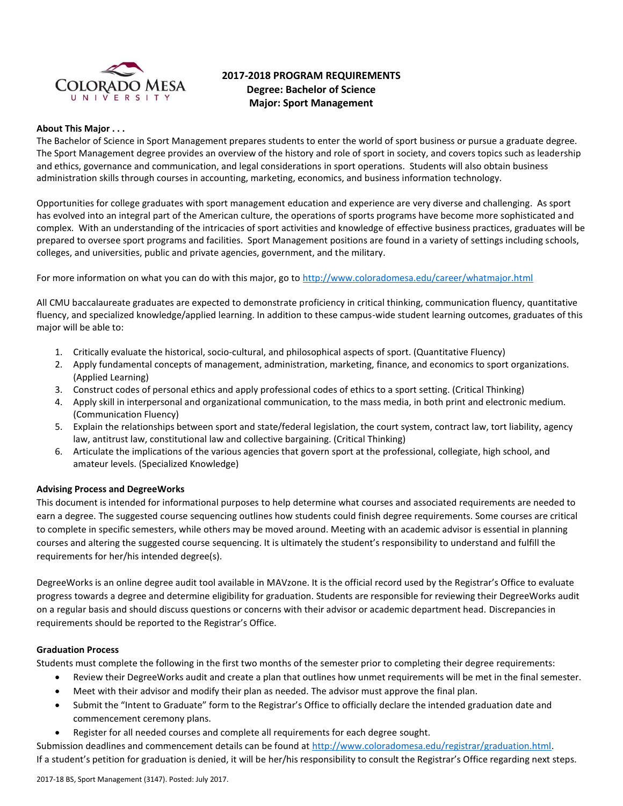

# **2017-2018 PROGRAM REQUIREMENTS Degree: Bachelor of Science Major: Sport Management**

### **About This Major . . .**

The Bachelor of Science in Sport Management prepares students to enter the world of sport business or pursue a graduate degree. The Sport Management degree provides an overview of the history and role of sport in society, and covers topics such as leadership and ethics, governance and communication, and legal considerations in sport operations. Students will also obtain business administration skills through courses in accounting, marketing, economics, and business information technology.

Opportunities for college graduates with sport management education and experience are very diverse and challenging. As sport has evolved into an integral part of the American culture, the operations of sports programs have become more sophisticated and complex. With an understanding of the intricacies of sport activities and knowledge of effective business practices, graduates will be prepared to oversee sport programs and facilities. Sport Management positions are found in a variety of settings including schools, colleges, and universities, public and private agencies, government, and the military.

For more information on what you can do with this major, go to<http://www.coloradomesa.edu/career/whatmajor.html>

All CMU baccalaureate graduates are expected to demonstrate proficiency in critical thinking, communication fluency, quantitative fluency, and specialized knowledge/applied learning. In addition to these campus-wide student learning outcomes, graduates of this major will be able to:

- 1. Critically evaluate the historical, socio-cultural, and philosophical aspects of sport. (Quantitative Fluency)
- 2. Apply fundamental concepts of management, administration, marketing, finance, and economics to sport organizations. (Applied Learning)
- 3. Construct codes of personal ethics and apply professional codes of ethics to a sport setting. (Critical Thinking)
- 4. Apply skill in interpersonal and organizational communication, to the mass media, in both print and electronic medium. (Communication Fluency)
- 5. Explain the relationships between sport and state/federal legislation, the court system, contract law, tort liability, agency law, antitrust law, constitutional law and collective bargaining. (Critical Thinking)
- 6. Articulate the implications of the various agencies that govern sport at the professional, collegiate, high school, and amateur levels. (Specialized Knowledge)

# **Advising Process and DegreeWorks**

This document is intended for informational purposes to help determine what courses and associated requirements are needed to earn a degree. The suggested course sequencing outlines how students could finish degree requirements. Some courses are critical to complete in specific semesters, while others may be moved around. Meeting with an academic advisor is essential in planning courses and altering the suggested course sequencing. It is ultimately the student's responsibility to understand and fulfill the requirements for her/his intended degree(s).

DegreeWorks is an online degree audit tool available in MAVzone. It is the official record used by the Registrar's Office to evaluate progress towards a degree and determine eligibility for graduation. Students are responsible for reviewing their DegreeWorks audit on a regular basis and should discuss questions or concerns with their advisor or academic department head. Discrepancies in requirements should be reported to the Registrar's Office.

### **Graduation Process**

Students must complete the following in the first two months of the semester prior to completing their degree requirements:

- Review their DegreeWorks audit and create a plan that outlines how unmet requirements will be met in the final semester.
- Meet with their advisor and modify their plan as needed. The advisor must approve the final plan.
- Submit the "Intent to Graduate" form to the Registrar's Office to officially declare the intended graduation date and commencement ceremony plans.
- Register for all needed courses and complete all requirements for each degree sought.

Submission deadlines and commencement details can be found at [http://www.coloradomesa.edu/registrar/graduation.html.](http://www.coloradomesa.edu/registrar/graduation.html) If a student's petition for graduation is denied, it will be her/his responsibility to consult the Registrar's Office regarding next steps.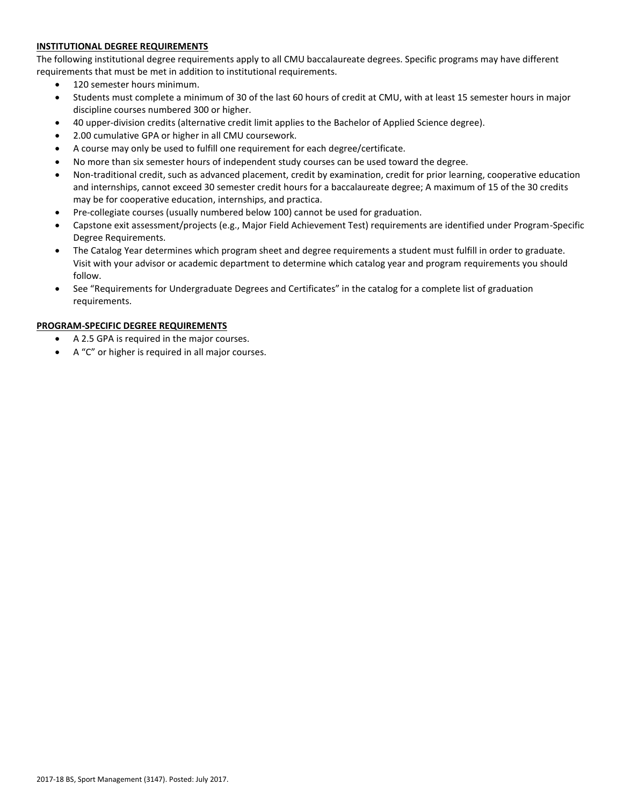# **INSTITUTIONAL DEGREE REQUIREMENTS**

The following institutional degree requirements apply to all CMU baccalaureate degrees. Specific programs may have different requirements that must be met in addition to institutional requirements.

- 120 semester hours minimum.
- Students must complete a minimum of 30 of the last 60 hours of credit at CMU, with at least 15 semester hours in major discipline courses numbered 300 or higher.
- 40 upper-division credits (alternative credit limit applies to the Bachelor of Applied Science degree).
- 2.00 cumulative GPA or higher in all CMU coursework.
- A course may only be used to fulfill one requirement for each degree/certificate.
- No more than six semester hours of independent study courses can be used toward the degree.
- Non-traditional credit, such as advanced placement, credit by examination, credit for prior learning, cooperative education and internships, cannot exceed 30 semester credit hours for a baccalaureate degree; A maximum of 15 of the 30 credits may be for cooperative education, internships, and practica.
- Pre-collegiate courses (usually numbered below 100) cannot be used for graduation.
- Capstone exit assessment/projects (e.g., Major Field Achievement Test) requirements are identified under Program-Specific Degree Requirements.
- The Catalog Year determines which program sheet and degree requirements a student must fulfill in order to graduate. Visit with your advisor or academic department to determine which catalog year and program requirements you should follow.
- See "Requirements for Undergraduate Degrees and Certificates" in the catalog for a complete list of graduation requirements.

### **PROGRAM-SPECIFIC DEGREE REQUIREMENTS**

- A 2.5 GPA is required in the major courses.
- A "C" or higher is required in all major courses.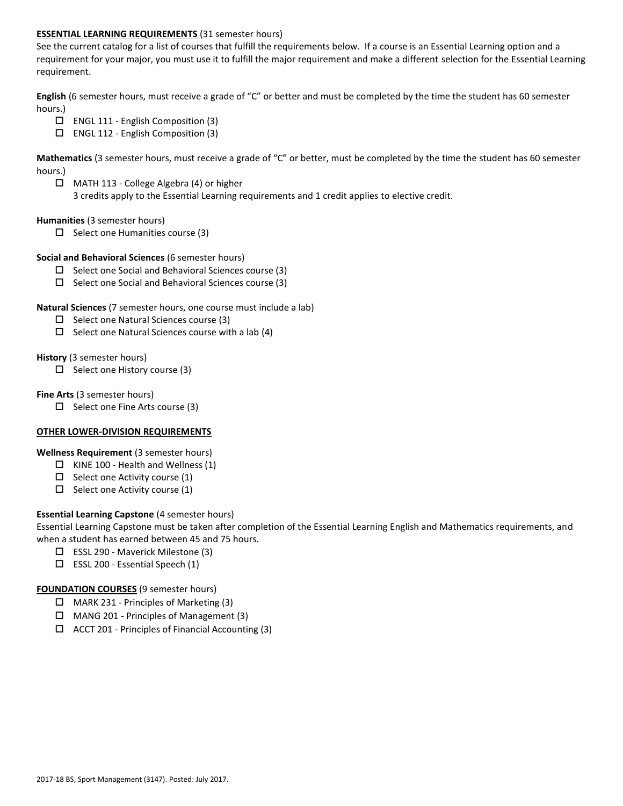## **ESSENTIAL LEARNING REQUIREMENTS** (31 semester hours)

See the current catalog for a list of courses that fulfill the requirements below. If a course is an Essential Learning option and a requirement for your major, you must use it to fulfill the major requirement and make a different selection for the Essential Learning requirement.

**English** (6 semester hours, must receive a grade of "C" or better and must be completed by the time the student has 60 semester hours.)

- ENGL 111 English Composition (3)
- ENGL 112 English Composition (3)

**Mathematics** (3 semester hours, must receive a grade of "C" or better, must be completed by the time the student has 60 semester hours.)

 MATH 113 - College Algebra (4) or higher 3 credits apply to the Essential Learning requirements and 1 credit applies to elective credit.

### **Humanities** (3 semester hours)

 $\Box$  Select one Humanities course (3)

### **Social and Behavioral Sciences** (6 semester hours)

- $\Box$  Select one Social and Behavioral Sciences course (3)
- $\square$  Select one Social and Behavioral Sciences course (3)

### **Natural Sciences** (7 semester hours, one course must include a lab)

- $\Box$  Select one Natural Sciences course (3)
- $\Box$  Select one Natural Sciences course with a lab (4)

### **History** (3 semester hours)

 $\Box$  Select one History course (3)

### **Fine Arts** (3 semester hours)

 $\Box$  Select one Fine Arts course (3)

# **OTHER LOWER-DIVISION REQUIREMENTS**

# **Wellness Requirement** (3 semester hours)

- $\Box$  KINE 100 Health and Wellness (1)
- $\Box$  Select one Activity course (1)
- $\Box$  Select one Activity course (1)

# **Essential Learning Capstone** (4 semester hours)

Essential Learning Capstone must be taken after completion of the Essential Learning English and Mathematics requirements, and when a student has earned between 45 and 75 hours.

- ESSL 290 Maverick Milestone (3)
- $\square$  ESSL 200 Essential Speech (1)

### **FOUNDATION COURSES** (9 semester hours)

- MARK 231 Principles of Marketing (3)
- MANG 201 Principles of Management (3)
- $\Box$  ACCT 201 Principles of Financial Accounting (3)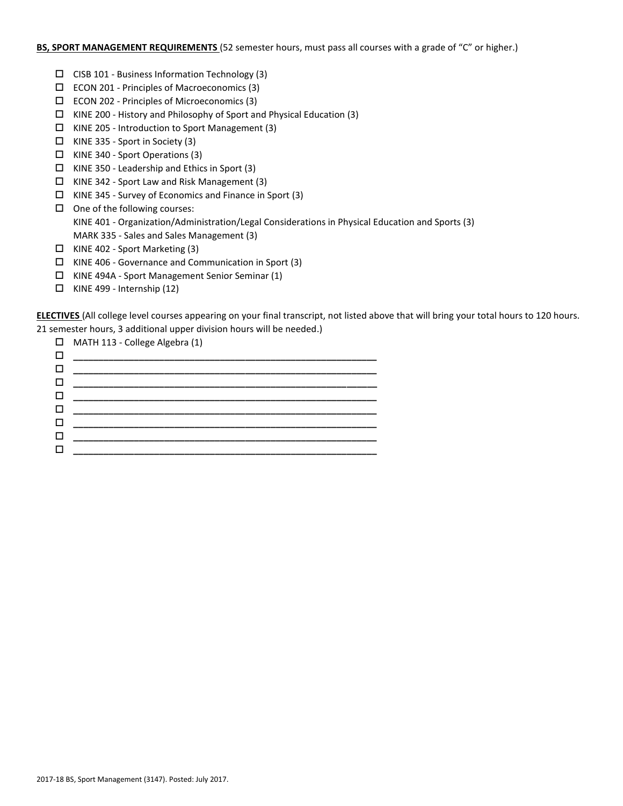# **BS, SPORT MANAGEMENT REQUIREMENTS** (52 semester hours, must pass all courses with a grade of "C" or higher.)

- $\Box$  CISB 101 Business Information Technology (3)
- $\square$  ECON 201 Principles of Macroeconomics (3)
- ECON 202 Principles of Microeconomics (3)
- $\Box$  KINE 200 History and Philosophy of Sport and Physical Education (3)
- KINE 205 Introduction to Sport Management (3)
- $\Box$  KINE 335 Sport in Society (3)
- KINE 340 Sport Operations (3)
- $\Box$  KINE 350 Leadership and Ethics in Sport (3)
- $\Box$  KINE 342 Sport Law and Risk Management (3)
- $\Box$  KINE 345 Survey of Economics and Finance in Sport (3)
- $\Box$  One of the following courses: KINE 401 - Organization/Administration/Legal Considerations in Physical Education and Sports (3) MARK 335 - Sales and Sales Management (3)
- $\Box$  KINE 402 Sport Marketing (3)
- KINE 406 Governance and Communication in Sport (3)
- $\Box$  KINE 494A Sport Management Senior Seminar (1)
- $\Box$  KINE 499 Internship (12)

**ELECTIVES** (All college level courses appearing on your final transcript, not listed above that will bring your total hours to 120 hours. 21 semester hours, 3 additional upper division hours will be needed.)

|   | $\Box$ MATH 113 - College Algebra (1) |
|---|---------------------------------------|
| □ |                                       |
| □ |                                       |
| □ |                                       |
| □ |                                       |
| □ |                                       |
|   |                                       |
|   |                                       |
|   |                                       |